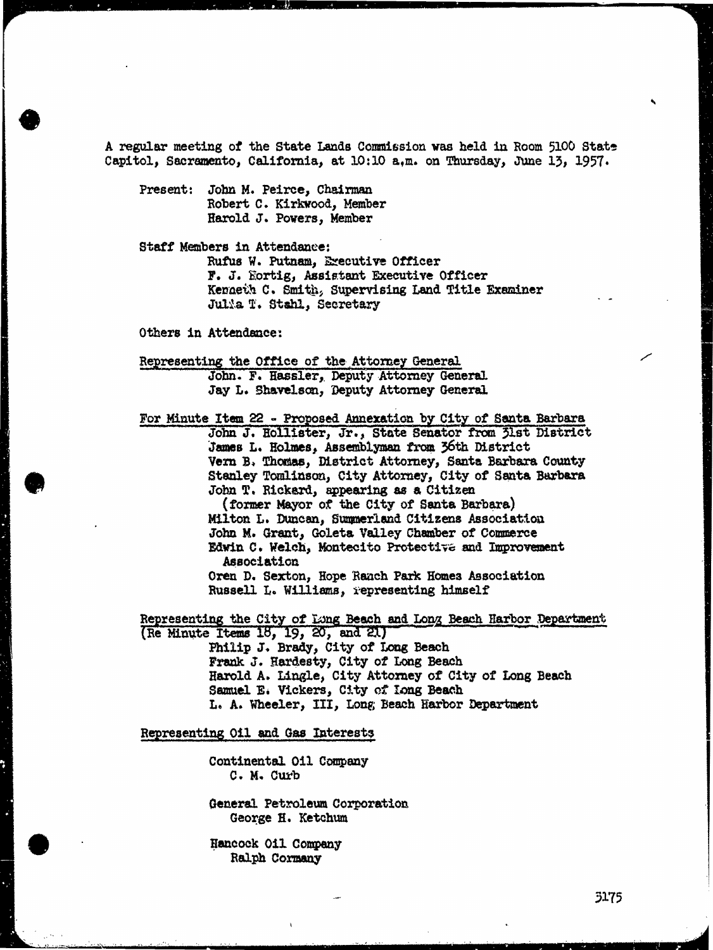A regular meeting of the State Lands Commission was held in Room 5100 State Capitol, Sacramento, California, at 10:10 a,m. on Thursday, June 13, 1957.

Present: John M. Peirce, Chairman Robert C. Kirkwood, Member Harold J. Powers, Member

Staff Members in Attendance: Rufus W. Putnam, Executive Officer F. J. Fortig, Assistant Executive Officer Kenneth C. Smith, Supervising Land Title Examiner Julia T. Stahl, Secretary

Others in Attendance:

Representing the Office of the Attorney General John. F. Hassler, Deputy Attorney General Jay L. Shavelson, Deputy Attorney General

For Minute Item 22 - Proposed Annexation by City of Santa Barbara John J. Hollister, Jr., State Senator from 31st District James L. Holmes, Assemblyman from 36th District Vern B. Thomas, District Attorney, Santa Barbara County Stanley Tomlinson, City Attorney, City of Santa Barbara John T. Rickard, appearing as a Citizen

> ( former Mayor of the City of Santa Barbara) Milton L. Duncan, Summerland Citizens Association John M. Grant, Goleta Valley Chamber of Commerce Edwin C. Welch, Montecito Protective and Improvement Association

Oren D. Sexton, Hope Ranch Park Homes Association Russell L. Williams, representing himself

Representing the City of Long Beach and Long Beach Harbor Department (Re Minute Items 18, 19, 20, and 21)

Philip J. Brady, City of Long Beach Frank J. Hardesty, City of Long Beach Harold A. Lingle, City Attorney of City of Long Beach Samuel E. Vickers, City of Long Beach L. A. Wheeler, III, Long Beach Harbor Department

## Representing Oil and Gas Interests

Continental Oil Company C. M. Curb

General Petroleum Corporation George H. Ketchum

Hancock Oil Company Ralph Cormany